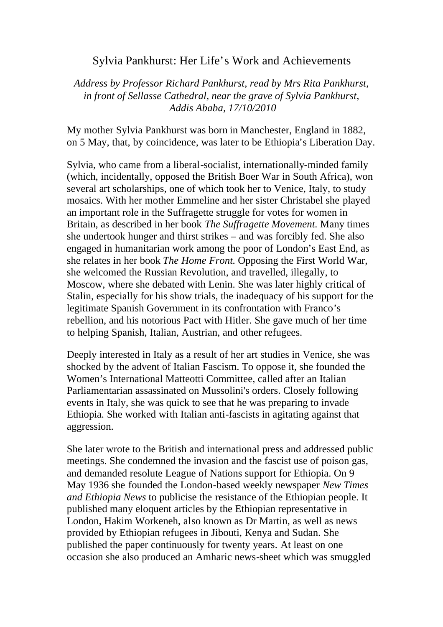## Sylvia Pankhurst: Her Life's Work and Achievements

*Address by Professor Richard Pankhurst, read by Mrs Rita Pankhurst, in front of Sellasse Cathedral, near the grave of Sylvia Pankhurst, Addis Ababa, 17/10/2010*

My mother Sylvia Pankhurst was born in Manchester, England in 1882, on 5 May, that, by coincidence, was later to be Ethiopia's Liberation Day.

Sylvia, who came from a liberal-socialist, internationally-minded family (which, incidentally, opposed the British Boer War in South Africa), won several art scholarships, one of which took her to Venice, Italy, to study mosaics. With her mother Emmeline and her sister Christabel she played an important role in the Suffragette struggle for votes for women in Britain, as described in her book *The Suffragette Movement.* Many times she undertook hunger and thirst strikes – and was forcibly fed. She also engaged in humanitarian work among the poor of London's East End, as she relates in her book *The Home Front*. Opposing the First World War, she welcomed the Russian Revolution, and travelled, illegally, to Moscow, where she debated with Lenin. She was later highly critical of Stalin, especially for his show trials, the inadequacy of his support for the legitimate Spanish Government in its confrontation with Franco's rebellion, and his notorious Pact with Hitler. She gave much of her time to helping Spanish, Italian, Austrian, and other refugees.

Deeply interested in Italy as a result of her art studies in Venice, she was shocked by the advent of Italian Fascism. To oppose it, she founded the Women's International Matteotti Committee, called after an Italian Parliamentarian assassinated on Mussolini's orders. Closely following events in Italy, she was quick to see that he was preparing to invade Ethiopia. She worked with Italian anti-fascists in agitating against that aggression.

She later wrote to the British and international press and addressed public meetings. She condemned the invasion and the fascist use of poison gas, and demanded resolute League of Nations support for Ethiopia. On 9 May 1936 she founded the London-based weekly newspaper *New Times and Ethiopia News* to publicise the resistance of the Ethiopian people. It published many eloquent articles by the Ethiopian representative in London, Hakim Workeneh, also known as Dr Martin, as well as news provided by Ethiopian refugees in Jibouti, Kenya and Sudan. She published the paper continuously for twenty years*.* At least on one occasion she also produced an Amharic news-sheet which was smuggled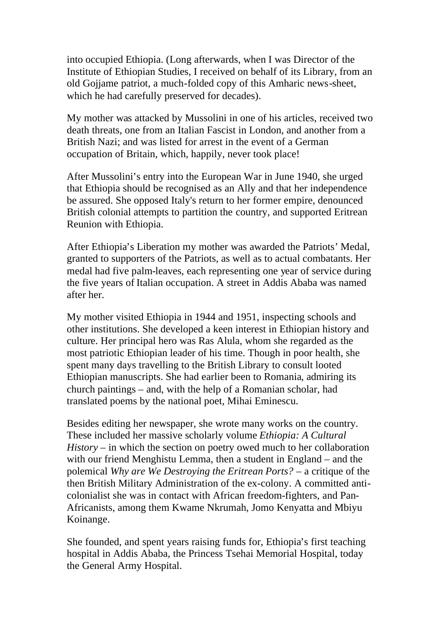into occupied Ethiopia. (Long afterwards, when I was Director of the Institute of Ethiopian Studies, I received on behalf of its Library, from an old Gojjame patriot, a much-folded copy of this Amharic news-sheet, which he had carefully preserved for decades).

My mother was attacked by Mussolini in one of his articles, received two death threats, one from an Italian Fascist in London, and another from a British Nazi; and was listed for arrest in the event of a German occupation of Britain, which, happily, never took place!

After Mussolini's entry into the European War in June 1940, she urged that Ethiopia should be recognised as an Ally and that her independence be assured. She opposed Italy's return to her former empire, denounced British colonial attempts to partition the country, and supported Eritrean Reunion with Ethiopia.

After Ethiopia's Liberation my mother was awarded the Patriots' Medal, granted to supporters of the Patriots, as well as to actual combatants. Her medal had five palm-leaves, each representing one year of service during the five years of Italian occupation. A street in Addis Ababa was named after her.

My mother visited Ethiopia in 1944 and 1951, inspecting schools and other institutions. She developed a keen interest in Ethiopian history and culture. Her principal hero was Ras Alula, whom she regarded as the most patriotic Ethiopian leader of his time. Though in poor health, she spent many days travelling to the British Library to consult looted Ethiopian manuscripts. She had earlier been to Romania, admiring its church paintings – and, with the help of a Romanian scholar, had translated poems by the national poet, Mihai Eminescu.

Besides editing her newspaper, she wrote many works on the country. These included her massive scholarly volume *Ethiopia: A Cultural History* – in which the section on poetry owed much to her collaboration with our friend Menghistu Lemma, then a student in England – and the polemical *Why are We Destroying the Eritrean Ports?* – a critique of the then British Military Administration of the ex-colony. A committed anticolonialist she was in contact with African freedom-fighters, and Pan-Africanists, among them Kwame Nkrumah, Jomo Kenyatta and Mbiyu Koinange.

She founded, and spent years raising funds for, Ethiopia's first teaching hospital in Addis Ababa, the Princess Tsehai Memorial Hospital, today the General Army Hospital.